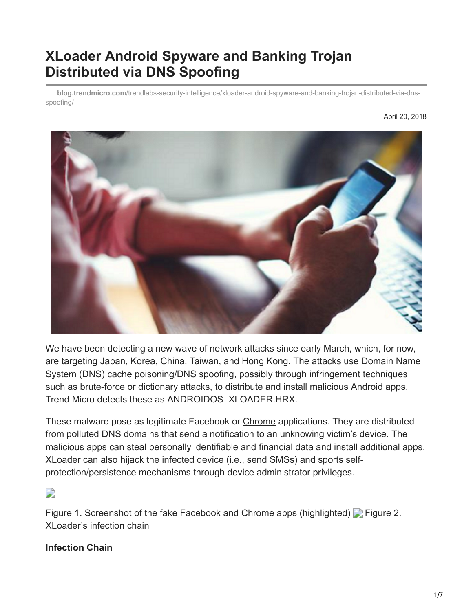# **XLoader Android Spyware and Banking Trojan Distributed via DNS Spoofing**

**blog.trendmicro.com**[/trendlabs-security-intelligence/xloader-android-spyware-and-banking-trojan-distributed-via-dns](https://blog.trendmicro.com/trendlabs-security-intelligence/xloader-android-spyware-and-banking-trojan-distributed-via-dns-spoofing/)spoofing/



We have been detecting a new wave of network attacks since early March, which, for now, are targeting Japan, Korea, China, Taiwan, and Hong Kong. The attacks use Domain Name System (DNS) cache poisoning/DNS spoofing, possibly through [infringement techniques](http://blog.trendmicro.co.jp/archives/17181) such as brute-force or dictionary attacks, to distribute and install malicious Android apps. Trend Micro detects these as ANDROIDOS\_XLOADER.HRX.

These malware pose as legitimate Facebook or [Chrome](http://blog.trendmicro.co.jp/archives/17170) applications. They are distributed from polluted DNS domains that send a notification to an unknowing victim's device. The malicious apps can steal personally identifiable and financial data and install additional apps. XLoader can also hijack the infected device (i.e., send SMSs) and sports selfprotection/persistence mechanisms through device administrator privileges.

 $\overline{\phantom{a}}$ 

Figure 1. Screenshot of the fake Facebook and Chrome apps (highlighted) **Figure 2.** XLoader's infection chain

#### **Infection Chain**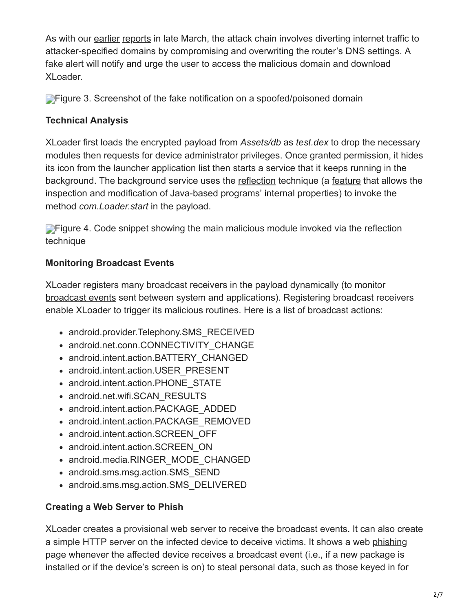As with our [earlier](http://blog.trendmicro.co.jp/archives/17170) [reports](http://blog.trendmicro.co.jp/archives/17181) in late March, the attack chain involves diverting internet traffic to attacker-specified domains by compromising and overwriting the router's DNS settings. A fake alert will notify and urge the user to access the malicious domain and download XLoader.

**[F](https://blog.trendmicro.com/content/dam/trendmicro/global/en/migrated/security-intelligence-migration-spreadsheet/trendlabs-security-intelligence/2018/04/xloader-android-dns-spoofing-3.png)igure 3. Screenshot of the fake notification on a spoofed/poisoned domain** 

### **Technical Analysis**

XLoader first loads the encrypted payload from *Assets/db* as *test.dex* to drop the necessary modules then requests for device administrator privileges. Once granted permission, it hides its icon from the launcher application list then starts a service that it keeps running in the background. The background service uses the [reflection](https://blog.trendmicro.com/trendlabs-security-intelligence/mobile-ransomware-protect/) technique (a [feature](http://www.oracle.com/technetwork/articles/java/javareflection-1536171.html) that allows the inspection and modification of Java-based programs' internal properties) to invoke the method *com.Loader.start* in the payload.

**[F](https://blog.trendmicro.com/content/dam/trendmicro/global/en/migrated/security-intelligence-migration-spreadsheet/trendlabs-security-intelligence/2018/04/xloader-android-dns-spoofing-4.png)igure 4. Code snippet showing the main malicious module invoked via the reflection** technique

## **Monitoring Broadcast Events**

XLoader registers many broadcast receivers in the payload dynamically (to monitor [broadcast events](https://developer.android.com/guide/components/broadcasts.html) sent between system and applications). Registering broadcast receivers enable XLoader to trigger its malicious routines. Here is a list of broadcast actions:

- android.provider.Telephony.SMS\_RECEIVED
- android.net.conn.CONNECTIVITY CHANGE
- android.intent.action.BATTERY CHANGED
- android.intent.action.USER\_PRESENT
- android.intent.action.PHONE STATE
- android.net.wifi.SCAN\_RESULTS
- android.intent.action.PACKAGE\_ADDED
- android.intent.action.PACKAGE\_REMOVED
- android.intent.action.SCREEN\_OFF
- android.intent.action.SCREEN\_ON
- android.media.RINGER\_MODE\_CHANGED
- android.sms.msg.action.SMS SEND
- android.sms.msg.action.SMS\_DELIVERED

### **Creating a Web Server to Phish**

XLoader creates a provisional web server to receive the broadcast events. It can also create a simple HTTP server on the infected device to deceive victims. It shows a web [phishing](https://www.trendmicro.com/vinfo/us/security/news/cybercrime-and-digital-threats/best-practices-identifying-and-mitigating-phishing-attacks) page whenever the affected device receives a broadcast event (i.e., if a new package is installed or if the device's screen is on) to steal personal data, such as those keyed in for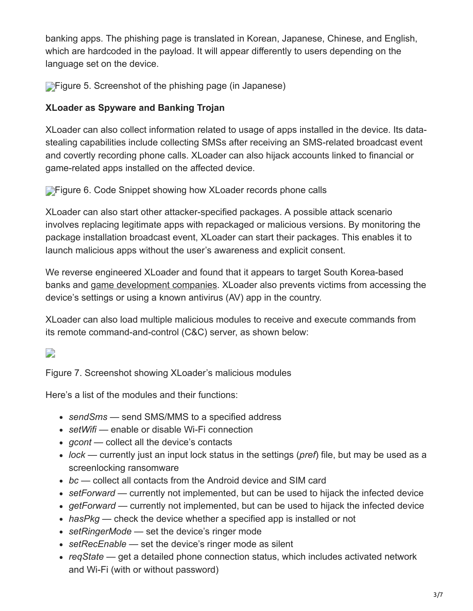banking apps. The phishing page is translated in Korean, Japanese, Chinese, and English, which are hardcoded in the payload. It will appear differently to users depending on the language set on the device.

**[F](https://blog.trendmicro.com/content/dam/trendmicro/global/en/migrated/security-intelligence-migration-spreadsheet/trendlabs-security-intelligence/2018/04/xloader-android-dns-spoofing-5.png)igure 5. Screenshot of the phishing page (in Japanese)** 

### **XLoader as Spyware and Banking Trojan**

XLoader can also collect information related to usage of apps installed in the device. Its datastealing capabilities include collecting SMSs after receiving an SMS-related broadcast event and covertly recording phone calls. XLoader can also hijack accounts linked to financial or game-related apps installed on the affected device.

**[F](https://blog.trendmicro.com/content/dam/trendmicro/global/en/migrated/security-intelligence-migration-spreadsheet/trendlabs-security-intelligence/2018/04/xloader-android-dns-spoofing-6.png)igure 6. Code Snippet showing how XLoader records phone calls** 

XLoader can also start other attacker-specified packages. A possible attack scenario involves replacing legitimate apps with repackaged or malicious versions. By monitoring the package installation broadcast event, XLoader can start their packages. This enables it to launch malicious apps without the user's awareness and explicit consent.

We reverse engineered XLoader and found that it appears to target South Korea-based banks and [game development companies](https://blog.trendmicro.com/trendlabs-security-intelligence/selling-online-gaming-currency-makes-way-attacks-enterprises/). XLoader also prevents victims from accessing the device's settings or using a known antivirus (AV) app in the country.

XLoader can also load multiple malicious modules to receive and execute commands from its remote command-and-control (C&C) server, as shown below:

 $\Box$ 

Figure 7. Screenshot showing XLoader's malicious modules

Here's a list of the modules and their functions:

- *sendSms*  send SMS/MMS to a specified address
- setWifi enable or disable Wi-Fi connection
- gcont collect all the device's contacts
- *lock*  currently just an input lock status in the settings (*pref*) file, but may be used as a screenlocking ransomware
- *bc*  collect all contacts from the Android device and SIM card
- setForward currently not implemented, but can be used to hijack the infected device
- getForward currently not implemented, but can be used to hijack the infected device
- hasPkg check the device whether a specified app is installed or not
- setRingerMode set the device's ringer mode
- setRecEnable set the device's ringer mode as silent
- *reqState*  get a detailed phone connection status, which includes activated network and Wi-Fi (with or without password)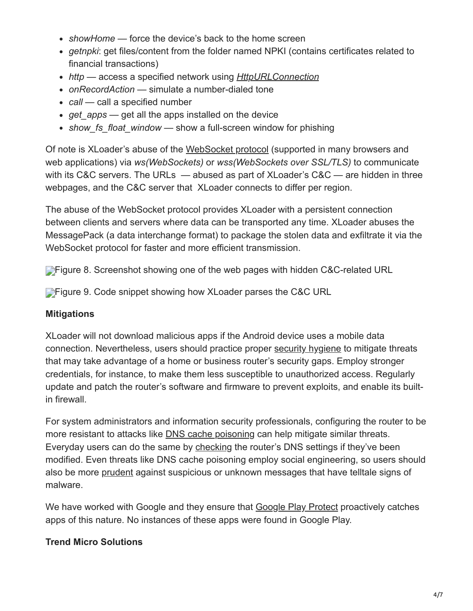- showHome force the device's back to the home screen
- *getnpki*: get files/content from the folder named NPKI (contains certificates related to financial transactions)
- *http*  access a specified network using *[HttpURLConnection](https://developer.android.com/reference/java/net/HttpURLConnection.html)*
- *onRecordAction*  simulate a number-dialed tone
- call call a specified number
- get apps get all the apps installed on the device
- show fs float window show a full-screen window for phishing

Of note is XLoader's abuse of the [WebSocket protocol](https://tools.ietf.org/html/rfc6455) (supported in many browsers and web applications) via *ws(WebSockets)* or *wss(WebSockets over SSL/TLS)* to communicate with its C&C servers. The URLs — abused as part of XLoader's C&C — are hidden in three webpages, and the C&C server that XLoader connects to differ per region.

The abuse of the WebSocket protocol provides XLoader with a persistent connection between clients and servers where data can be transported any time. XLoader abuses the MessagePack (a data interchange format) to package the stolen data and exfiltrate it via the WebSocket protocol for faster and more efficient transmission.

**[F](https://blog.trendmicro.com/content/dam/trendmicro/global/en/migrated/security-intelligence-migration-spreadsheet/trendlabs-security-intelligence/2018/04/xloader-android-dns-spoofing-8.png)igure 8. Screenshot showing one of the web pages with hidden C&C-related URL** 

**[F](https://blog.trendmicro.com/content/dam/trendmicro/global/en/migrated/security-intelligence-migration-spreadsheet/trendlabs-security-intelligence/2018/04/xloader-android-dns-spoofing-9.png)igure 9. Code snippet showing how XLoader parses the C&C URL** 

### **Mitigations**

XLoader will not download malicious apps if the Android device uses a mobile data connection. Nevertheless, users should practice proper [security hygiene](https://www.trendmicro.com/vinfo/us/security/news/internet-of-things/securing-routers-against-mirai-home-network-attacks) to mitigate threats that may take advantage of a home or business router's security gaps. Employ stronger credentials, for instance, to make them less susceptible to unauthorized access. Regularly update and patch the router's software and firmware to prevent exploits, and enable its builtin firewall.

For system administrators and information security professionals, configuring the router to be more resistant to attacks like [DNS cache poisoning](https://www.trendmicro.com/vinfo/us/security/news/cybercrime-and-digital-threats/infosec-guide-defending-against-man-in-the-middle-attacks) can help mitigate similar threats. Everyday users can do the same by [checking](http://sitesafety.trendmicro.com/) the router's DNS settings if they've been modified. Even threats like DNS cache poisoning employ social engineering, so users should also be more [prudent](https://www.trendmicro.com/vinfo/us/security/news/mobile-safety/best-practices-securing-your-mobile-device) against suspicious or unknown messages that have telltale signs of malware.

We have worked with Google and they ensure that [Google Play Protect](https://www.android.com/play-protect/) proactively catches apps of this nature. No instances of these apps were found in Google Play.

## **Trend Micro Solutions**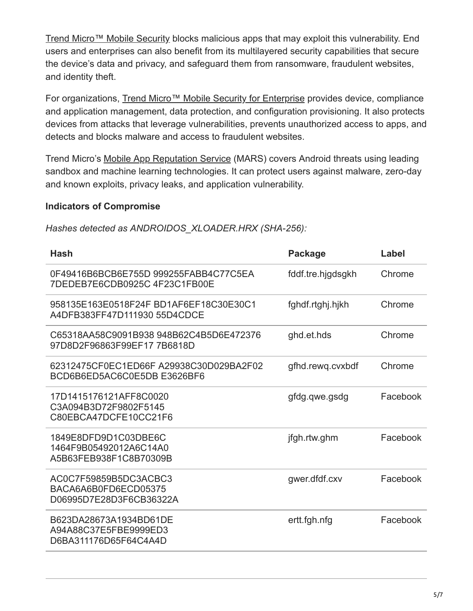[Trend Micro™ Mobile Security](https://blog.trendmicro.com/en_us/forHome/products/mobile-security.html) blocks malicious apps that may exploit this vulnerability. End users and enterprises can also benefit from its multilayered security capabilities that secure the device's data and privacy, and safeguard them from ransomware, fraudulent websites, and identity theft.

For organizations, [Trend Micro™ Mobile Security for Enterprise](https://blog.trendmicro.com/en_us/business/products/user-protection/sps/mobile.html) provides device, compliance and application management, data protection, and configuration provisioning. It also protects devices from attacks that leverage vulnerabilities, prevents unauthorized access to apps, and detects and blocks malware and access to fraudulent websites.

Trend Micro's [Mobile App Reputation Service](https://mars.trendmicro.com/) (MARS) covers Android threats using leading sandbox and machine learning technologies. It can protect users against malware, zero-day and known exploits, privacy leaks, and application vulnerability.

#### **Indicators of Compromise**

*Hashes detected as ANDROIDOS\_XLOADER.HRX (SHA-256):*

| Hash                                                                     | <b>Package</b>    | Label    |
|--------------------------------------------------------------------------|-------------------|----------|
| 0F49416B6BCB6E755D 999255FABB4C77C5EA<br>7DEDEB7E6CDB0925C4F23C1FB00E    | fddf.tre.hjgdsgkh | Chrome   |
| 958135E163E0518F24F BD1AF6EF18C30E30C1<br>A4DFB383FF47D111930 55D4CDCE   | fghdf.rtghj.hjkh  | Chrome   |
| C65318AA58C9091B938948B62C4B5D6E472376<br>97D8D2F96863F99EF17 7B6818D    | ghd.et.hds        | Chrome   |
| 62312475CF0EC1ED66F A29938C30D029BA2F02<br>BCD6B6ED5AC6C0E5DB E3626BF6   | gfhd.rewq.cvxbdf  | Chrome   |
| 17D1415176121AFF8C0020<br>C3A094B3D72F9802F5145<br>C80EBCA47DCFE10CC21F6 | gfdg.qwe.gsdg     | Facebook |
| 1849E8DFD9D1C03DBE6C<br>1464F9B05492012A6C14A0<br>A5B63FEB938F1C8B70309B | jfgh.rtw.ghm      | Facebook |
| AC0C7F59859B5DC3ACBC3<br>BACA6A6B0FD6ECD05375<br>D06995D7E28D3F6CB36322A | gwer.dfdf.cxv     | Facebook |
| B623DA28673A1934BD61DE<br>A94A88C37E5FBE9999ED3<br>D6BA311176D65F64C4A4D | ertt.fgh.nfg      | Facebook |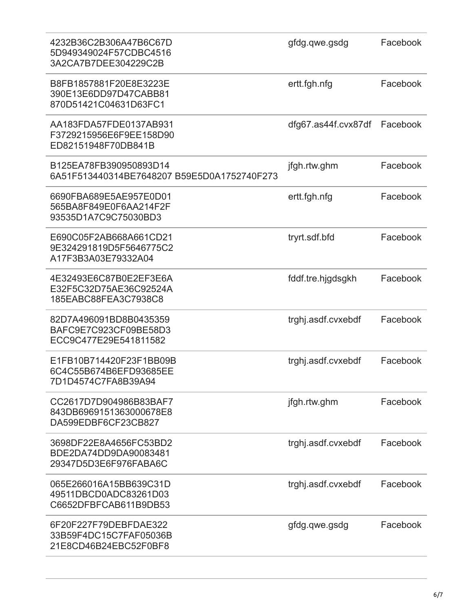| 4232B36C2B306A47B6C67D<br>5D949349024F57CDBC4516<br>3A2CA7B7DEE304229C2B | gfdg.qwe.gsdg       | Facebook |
|--------------------------------------------------------------------------|---------------------|----------|
| B8FB1857881F20E8E3223E<br>390E13E6DD97D47CABB81<br>870D51421C04631D63FC1 | ertt.fgh.nfg        | Facebook |
| AA183FDA57FDE0137AB931<br>F3729215956E6F9EE158D90<br>ED82151948F70DB841B | dfg67.as44f.cvx87df | Facebook |
| B125EA78FB390950893D14<br>6A51F513440314BE7648207 B59E5D0A1752740F273    | jfgh.rtw.ghm        | Facebook |
| 6690FBA689E5AE957E0D01<br>565BA8F849E0F6AA214F2F<br>93535D1A7C9C75030BD3 | ertt.fgh.nfg        | Facebook |
| E690C05F2AB668A661CD21<br>9E324291819D5F5646775C2<br>A17F3B3A03E79332A04 | tryrt.sdf.bfd       | Facebook |
| 4E32493E6C87B0E2EF3E6A<br>E32F5C32D75AE36C92524A<br>185EABC88FEA3C7938C8 | fddf.tre.hjgdsgkh   | Facebook |
| 82D7A496091BD8B0435359<br>BAFC9E7C923CF09BE58D3<br>ECC9C477E29E541811582 | trghj.asdf.cvxebdf  | Facebook |
| E1FB10B714420F23F1BB09B<br>6C4C55B674B6EFD93685EE<br>7D1D4574C7FA8B39A94 | trghj.asdf.cvxebdf  | Facebook |
| CC2617D7D904986B83BAF7<br>843DB6969151363000678E8<br>DA599EDBF6CF23CB827 | jfgh.rtw.ghm        | Facebook |
| 3698DF22E8A4656FC53BD2<br>BDE2DA74DD9DA90083481<br>29347D5D3E6F976FABA6C | trghj.asdf.cvxebdf  | Facebook |
| 065E266016A15BB639C31D<br>49511DBCD0ADC83261D03<br>C6652DFBFCAB611B9DB53 | trghj.asdf.cvxebdf  | Facebook |
| 6F20F227F79DEBFDAE322<br>33B59F4DC15C7FAF05036B<br>21E8CD46B24EBC52F0BF8 | gfdg.qwe.gsdg       | Facebook |